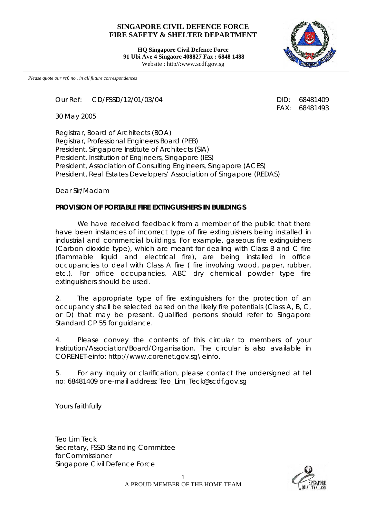## **SINGAPORE CIVIL DEFENCE FORCE FIRE SAFETY & SHELTER DEPARTMENT**

**HQ Singapore Civil Defence Force 91 Ubi Ave 4 Singaore 408827 Fax : 6848 1488** Website : http//:www.scdf.gov.sg



*Please quote our ref. no . in all future correspondences*

Our Ref: CD/FSSD/12/01/03/04 DID: 68481409

30 May 2005

Registrar, Board of Architects (BOA) Registrar, Professional Engineers Board (PEB) President, Singapore Institute of Architects (SIA) President, Institution of Engineers, Singapore (IES) President, Association of Consulting Engineers, Singapore (ACES) President, Real Estates Developers' Association of Singapore (REDAS)

Dear Sir/Madam

## **PROVISION OF PORTABLE FIRE EXTINGUISHERS IN BUILDINGS**

We have received feedback from a member of the public that there have been instances of incorrect type of fire extinguishers being installed in industrial and commercial buildings. For example, gaseous fire extinguishers (Carbon dioxide type), which are meant for dealing with Class B and C fire (flammable liquid and electrical fire), are being installed in office occupancies to deal with Class A fire ( fire involving wood, paper, rubber, etc.). For office occupancies, ABC dry chemical powder type fire extinguishers should be used.

2. The appropriate type of fire extinguishers for the protection of an occupancy shall be selected based on the likely fire potentials (Class A, B, C, or D) that may be present. Qualified persons should refer to Singapore Standard CP 55 for quidance.

4. Please convey the contents of this circular to members of your Institution/Association/Board/Organisation. The circular is also available in CORENET-einfo: http://www.corenet.gov.sg\einfo.

5. For any inquiry or clarification, please contact the undersigned at tel no: 68481409 or e-mail address: Teo\_Lim\_Teck@scdf.gov.sg

Yours faithfully

Teo Lim Teck Secretary, FSSD Standing Committee for Commissioner Singapore Civil Defence Force